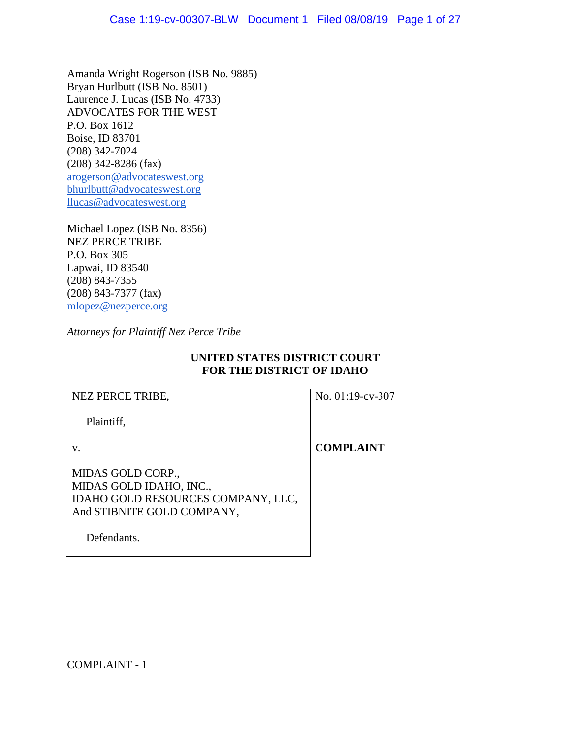Amanda Wright Rogerson (ISB No. 9885) Bryan Hurlbutt (ISB No. 8501) Laurence J. Lucas (ISB No. 4733) ADVOCATES FOR THE WEST P.O. Box 1612 Boise, ID 83701 (208) 342-7024 (208) 342-8286 (fax) [arogerson@advocateswest.org](mailto:arogerson@advcoateswest.org) [bhurlbutt@advocateswest.org](mailto:bhurlbutt@advocateswest.org) [llucas@advocateswest.org](mailto:llucas@advocateswest.org)

Michael Lopez (ISB No. 8356) NEZ PERCE TRIBE P.O. Box 305 Lapwai, ID 83540 (208) 843-7355 (208) 843-7377 (fax) [mlopez@nezperce.org](mailto:mlopez@nezperce.org)

*Attorneys for Plaintiff Nez Perce Tribe*

# **UNITED STATES DISTRICT COURT FOR THE DISTRICT OF IDAHO**

# NEZ PERCE TRIBE,

No. 01:19-cv-307

Plaintiff,

v.

**COMPLAINT**

MIDAS GOLD CORP., MIDAS GOLD IDAHO, INC., IDAHO GOLD RESOURCES COMPANY, LLC, And STIBNITE GOLD COMPANY,

Defendants.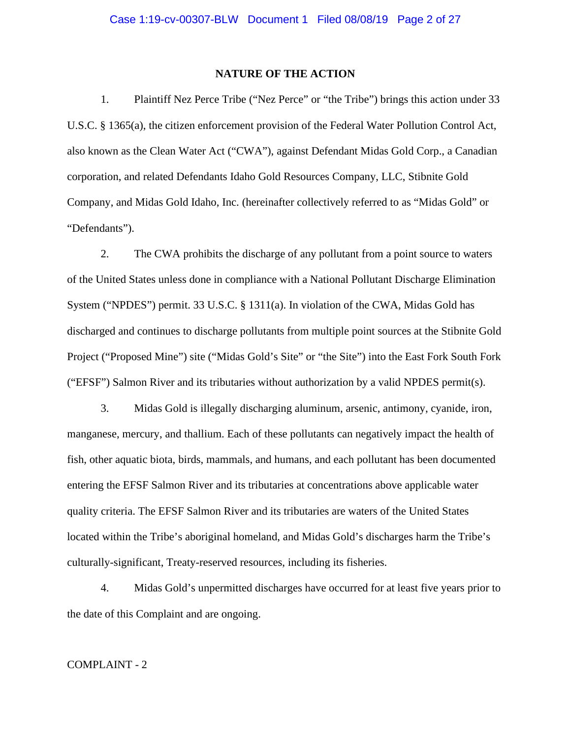### **NATURE OF THE ACTION**

1. Plaintiff Nez Perce Tribe ("Nez Perce" or "the Tribe") brings this action under 33 U.S.C. § 1365(a), the citizen enforcement provision of the Federal Water Pollution Control Act, also known as the Clean Water Act ("CWA"), against Defendant Midas Gold Corp., a Canadian corporation, and related Defendants Idaho Gold Resources Company, LLC, Stibnite Gold Company, and Midas Gold Idaho, Inc. (hereinafter collectively referred to as "Midas Gold" or "Defendants").

2. The CWA prohibits the discharge of any pollutant from a point source to waters of the United States unless done in compliance with a National Pollutant Discharge Elimination System ("NPDES") permit. 33 U.S.C. § 1311(a). In violation of the CWA, Midas Gold has discharged and continues to discharge pollutants from multiple point sources at the Stibnite Gold Project ("Proposed Mine") site ("Midas Gold's Site" or "the Site") into the East Fork South Fork ("EFSF") Salmon River and its tributaries without authorization by a valid NPDES permit(s).

3. Midas Gold is illegally discharging aluminum, arsenic, antimony, cyanide, iron, manganese, mercury, and thallium. Each of these pollutants can negatively impact the health of fish, other aquatic biota, birds, mammals, and humans, and each pollutant has been documented entering the EFSF Salmon River and its tributaries at concentrations above applicable water quality criteria. The EFSF Salmon River and its tributaries are waters of the United States located within the Tribe's aboriginal homeland, and Midas Gold's discharges harm the Tribe's culturally-significant, Treaty-reserved resources, including its fisheries.

4. Midas Gold's unpermitted discharges have occurred for at least five years prior to the date of this Complaint and are ongoing.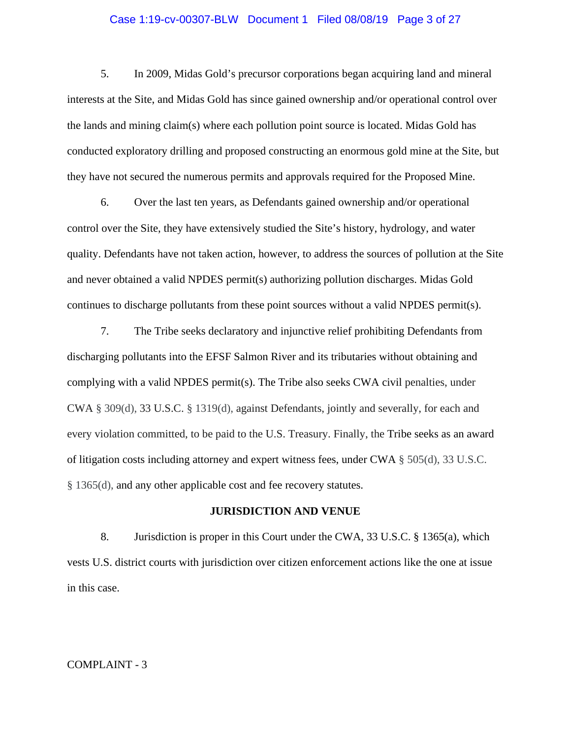# Case 1:19-cv-00307-BLW Document 1 Filed 08/08/19 Page 3 of 27

5. In 2009, Midas Gold's precursor corporations began acquiring land and mineral interests at the Site, and Midas Gold has since gained ownership and/or operational control over the lands and mining claim(s) where each pollution point source is located. Midas Gold has conducted exploratory drilling and proposed constructing an enormous gold mine at the Site, but they have not secured the numerous permits and approvals required for the Proposed Mine.

6. Over the last ten years, as Defendants gained ownership and/or operational control over the Site, they have extensively studied the Site's history, hydrology, and water quality. Defendants have not taken action, however, to address the sources of pollution at the Site and never obtained a valid NPDES permit(s) authorizing pollution discharges. Midas Gold continues to discharge pollutants from these point sources without a valid NPDES permit(s).

7. The Tribe seeks declaratory and injunctive relief prohibiting Defendants from discharging pollutants into the EFSF Salmon River and its tributaries without obtaining and complying with a valid NPDES permit(s). The Tribe also seeks CWA civil penalties, under CWA § 309(d), 33 U.S.C. § 1319(d), against Defendants, jointly and severally, for each and every violation committed, to be paid to the U.S. Treasury. Finally, the Tribe seeks as an award of litigation costs including attorney and expert witness fees, under CWA  $\S$  505(d), 33 U.S.C. § 1365(d), and any other applicable cost and fee recovery statutes.

# **JURISDICTION AND VENUE**

8. Jurisdiction is proper in this Court under the CWA, 33 U.S.C. § 1365(a), which vests U.S. district courts with jurisdiction over citizen enforcement actions like the one at issue in this case.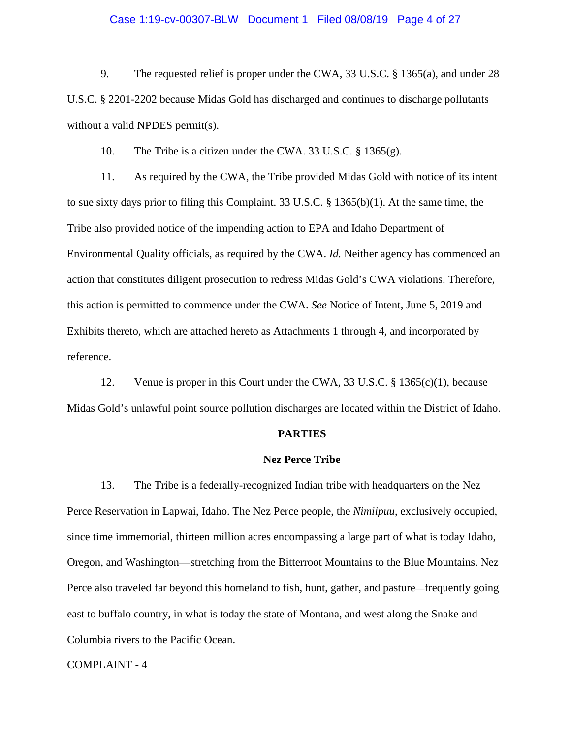# Case 1:19-cv-00307-BLW Document 1 Filed 08/08/19 Page 4 of 27

9. The requested relief is proper under the CWA, 33 U.S.C. § 1365(a), and under 28 U.S.C. § 2201-2202 because Midas Gold has discharged and continues to discharge pollutants without a valid NPDES permit(s).

10. The Tribe is a citizen under the CWA. 33 U.S.C. § 1365(g).

11. As required by the CWA, the Tribe provided Midas Gold with notice of its intent to sue sixty days prior to filing this Complaint. 33 U.S.C. § 1365(b)(1). At the same time, the Tribe also provided notice of the impending action to EPA and Idaho Department of Environmental Quality officials, as required by the CWA. *Id.* Neither agency has commenced an action that constitutes diligent prosecution to redress Midas Gold's CWA violations. Therefore, this action is permitted to commence under the CWA. *See* Notice of Intent, June 5, 2019 and Exhibits thereto, which are attached hereto as Attachments 1 through 4, and incorporated by reference.

12. Venue is proper in this Court under the CWA, 33 U.S.C. § 1365(c)(1), because Midas Gold's unlawful point source pollution discharges are located within the District of Idaho.

# **PARTIES**

#### **Nez Perce Tribe**

13. The Tribe is a federally-recognized Indian tribe with headquarters on the Nez Perce Reservation in Lapwai, Idaho. The Nez Perce people, the *Nimiipuu*, exclusively occupied, since time immemorial, thirteen million acres encompassing a large part of what is today Idaho, Oregon, and Washington—stretching from the Bitterroot Mountains to the Blue Mountains. Nez Perce also traveled far beyond this homeland to fish, hunt, gather, and pasture—frequently going east to buffalo country, in what is today the state of Montana, and west along the Snake and Columbia rivers to the Pacific Ocean.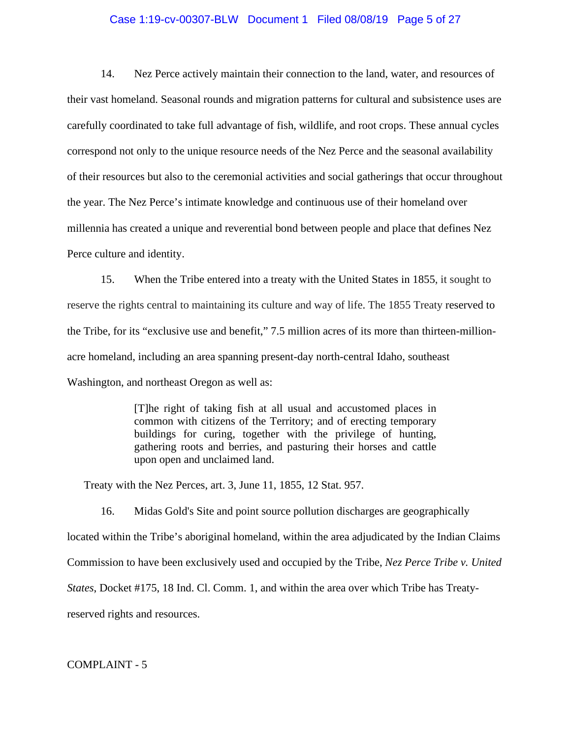# Case 1:19-cv-00307-BLW Document 1 Filed 08/08/19 Page 5 of 27

14. Nez Perce actively maintain their connection to the land, water, and resources of their vast homeland. Seasonal rounds and migration patterns for cultural and subsistence uses are carefully coordinated to take full advantage of fish, wildlife, and root crops. These annual cycles correspond not only to the unique resource needs of the Nez Perce and the seasonal availability of their resources but also to the ceremonial activities and social gatherings that occur throughout the year. The Nez Perce's intimate knowledge and continuous use of their homeland over millennia has created a unique and reverential bond between people and place that defines Nez Perce culture and identity.

15. When the Tribe entered into a treaty with the United States in 1855, it sought to reserve the rights central to maintaining its culture and way of life. The 1855 Treaty reserved to the Tribe, for its "exclusive use and benefit," 7.5 million acres of its more than thirteen-millionacre homeland, including an area spanning present-day north-central Idaho, southeast Washington, and northeast Oregon as well as:

> [T]he right of taking fish at all usual and accustomed places in common with citizens of the Territory; and of erecting temporary buildings for curing, together with the privilege of hunting, gathering roots and berries, and pasturing their horses and cattle upon open and unclaimed land.

Treaty with the Nez Perces, art. 3, June 11, 1855, 12 Stat. 957.

16. Midas Gold's Site and point source pollution discharges are geographically located within the Tribe's aboriginal homeland, within the area adjudicated by the Indian Claims Commission to have been exclusively used and occupied by the Tribe, *Nez Perce Tribe v. United States*, Docket #175, 18 Ind. Cl. Comm. 1, and within the area over which Tribe has Treatyreserved rights and resources.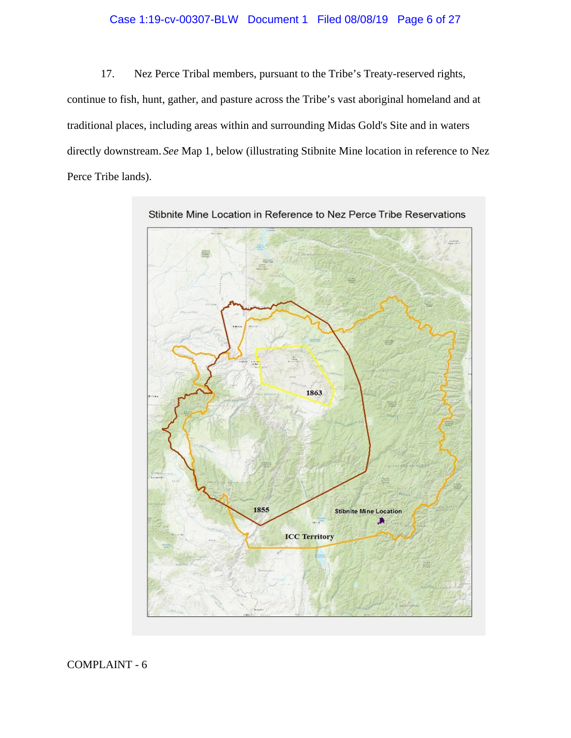# Case 1:19-cv-00307-BLW Document 1 Filed 08/08/19 Page 6 of 27

17. Nez Perce Tribal members, pursuant to the Tribe's Treaty-reserved rights, continue to fish, hunt, gather, and pasture across the Tribe's vast aboriginal homeland and at traditional places, including areas within and surrounding Midas Gold's Site and in waters directly downstream. *See* Map 1, below (illustrating Stibnite Mine location in reference to Nez Perce Tribe lands).

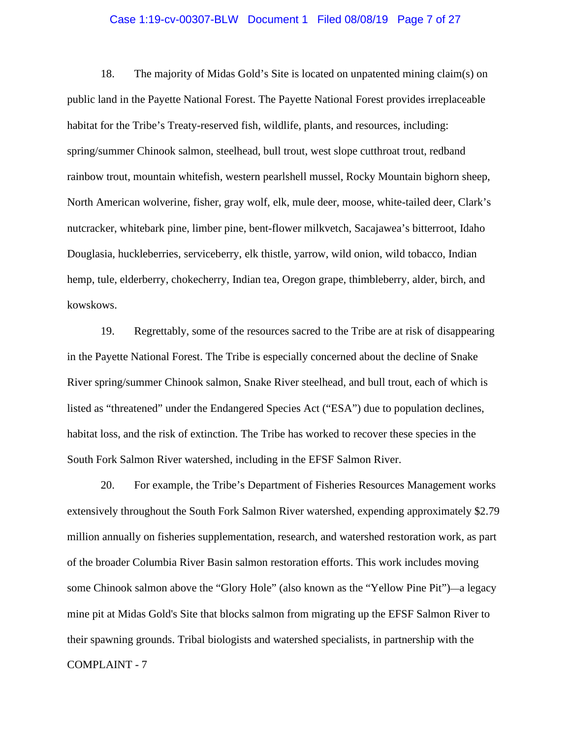# Case 1:19-cv-00307-BLW Document 1 Filed 08/08/19 Page 7 of 27

18. The majority of Midas Gold's Site is located on unpatented mining claim(s) on public land in the Payette National Forest. The Payette National Forest provides irreplaceable habitat for the Tribe's Treaty-reserved fish, wildlife, plants, and resources, including: spring/summer Chinook salmon, steelhead, bull trout, west slope cutthroat trout, redband rainbow trout, mountain whitefish, western pearlshell mussel, Rocky Mountain bighorn sheep, North American wolverine, fisher, gray wolf, elk, mule deer, moose, white-tailed deer, Clark's nutcracker, whitebark pine, limber pine, bent-flower milkvetch, Sacajawea's bitterroot, Idaho Douglasia, huckleberries, serviceberry, elk thistle, yarrow, wild onion, wild tobacco, Indian hemp, tule, elderberry, chokecherry, Indian tea, Oregon grape, thimbleberry, alder, birch, and kowskows.

19. Regrettably, some of the resources sacred to the Tribe are at risk of disappearing in the Payette National Forest. The Tribe is especially concerned about the decline of Snake River spring/summer Chinook salmon, Snake River steelhead, and bull trout, each of which is listed as "threatened" under the Endangered Species Act ("ESA") due to population declines, habitat loss, and the risk of extinction. The Tribe has worked to recover these species in the South Fork Salmon River watershed, including in the EFSF Salmon River.

COMPLAINT - 7 20. For example, the Tribe's Department of Fisheries Resources Management works extensively throughout the South Fork Salmon River watershed, expending approximately \$2.79 million annually on fisheries supplementation, research, and watershed restoration work, as part of the broader Columbia River Basin salmon restoration efforts. This work includes moving some Chinook salmon above the "Glory Hole" (also known as the "Yellow Pine Pit")—a legacy mine pit at Midas Gold's Site that blocks salmon from migrating up the EFSF Salmon River to their spawning grounds. Tribal biologists and watershed specialists, in partnership with the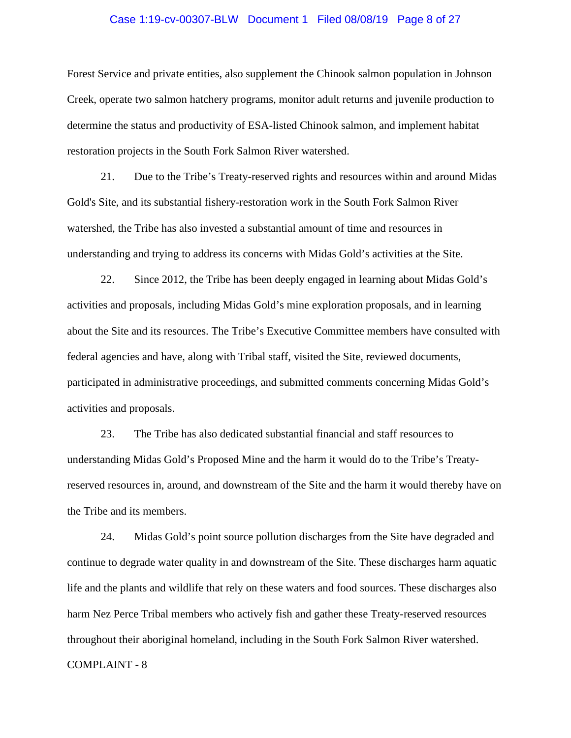# Case 1:19-cv-00307-BLW Document 1 Filed 08/08/19 Page 8 of 27

Forest Service and private entities, also supplement the Chinook salmon population in Johnson Creek, operate two salmon hatchery programs, monitor adult returns and juvenile production to determine the status and productivity of ESA-listed Chinook salmon, and implement habitat restoration projects in the South Fork Salmon River watershed.

21. Due to the Tribe's Treaty-reserved rights and resources within and around Midas Gold's Site, and its substantial fishery-restoration work in the South Fork Salmon River watershed, the Tribe has also invested a substantial amount of time and resources in understanding and trying to address its concerns with Midas Gold's activities at the Site.

22. Since 2012, the Tribe has been deeply engaged in learning about Midas Gold's activities and proposals, including Midas Gold's mine exploration proposals, and in learning about the Site and its resources. The Tribe's Executive Committee members have consulted with federal agencies and have, along with Tribal staff, visited the Site, reviewed documents, participated in administrative proceedings, and submitted comments concerning Midas Gold's activities and proposals.

23. The Tribe has also dedicated substantial financial and staff resources to understanding Midas Gold's Proposed Mine and the harm it would do to the Tribe's Treatyreserved resources in, around, and downstream of the Site and the harm it would thereby have on the Tribe and its members.

COMPLAINT - 8 24. Midas Gold's point source pollution discharges from the Site have degraded and continue to degrade water quality in and downstream of the Site. These discharges harm aquatic life and the plants and wildlife that rely on these waters and food sources. These discharges also harm Nez Perce Tribal members who actively fish and gather these Treaty-reserved resources throughout their aboriginal homeland, including in the South Fork Salmon River watershed.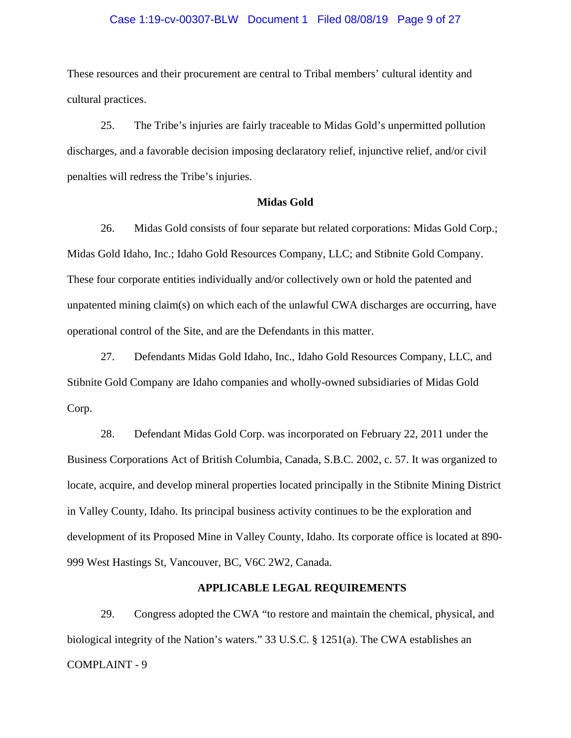# Case 1:19-cv-00307-BLW Document 1 Filed 08/08/19 Page 9 of 27

These resources and their procurement are central to Tribal members' cultural identity and cultural practices.

25. The Tribe's injuries are fairly traceable to Midas Gold's unpermitted pollution discharges, and a favorable decision imposing declaratory relief, injunctive relief, and/or civil penalties will redress the Tribe's injuries.

### **Midas Gold**

26. Midas Gold consists of four separate but related corporations: Midas Gold Corp.; Midas Gold Idaho, Inc.; Idaho Gold Resources Company, LLC; and Stibnite Gold Company. These four corporate entities individually and/or collectively own or hold the patented and unpatented mining claim(s) on which each of the unlawful CWA discharges are occurring, have operational control of the Site, and are the Defendants in this matter.

27. Defendants Midas Gold Idaho, Inc., Idaho Gold Resources Company, LLC, and Stibnite Gold Company are Idaho companies and wholly-owned subsidiaries of Midas Gold Corp.

28. Defendant Midas Gold Corp. was incorporated on February 22, 2011 under the Business Corporations Act of British Columbia, Canada, S.B.C. 2002, c. 57. It was organized to locate, acquire, and develop mineral properties located principally in the Stibnite Mining District in Valley County, Idaho. Its principal business activity continues to be the exploration and development of its Proposed Mine in Valley County, Idaho. Its corporate office is located at 890- 999 West Hastings St, Vancouver, BC, V6C 2W2, Canada.

### **APPLICABLE LEGAL REQUIREMENTS**

COMPLAINT - 9 29. Congress adopted the CWA "to restore and maintain the chemical, physical, and biological integrity of the Nation's waters." 33 U.S.C. § 1251(a). The CWA establishes an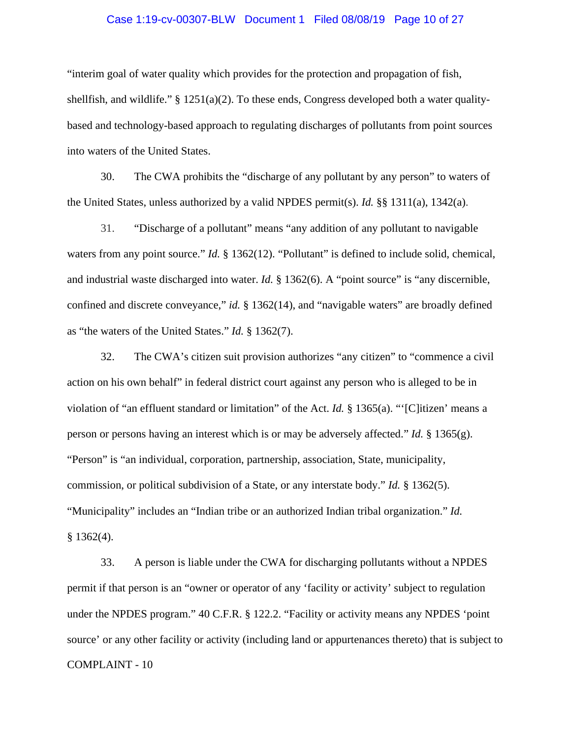# Case 1:19-cv-00307-BLW Document 1 Filed 08/08/19 Page 10 of 27

"interim goal of water quality which provides for the protection and propagation of fish, shellfish, and wildlife." § 1251(a)(2). To these ends, Congress developed both a water qualitybased and technology-based approach to regulating discharges of pollutants from point sources into waters of the United States.

30. The CWA prohibits the "discharge of any pollutant by any person" to waters of the United States, unless authorized by a valid NPDES permit(s). *Id.* §§ 1311(a), 1342(a).

31. "Discharge of a pollutant" means "any addition of any pollutant to navigable waters from any point source." *Id.* § 1362(12). "Pollutant" is defined to include solid, chemical, and industrial waste discharged into water. *Id.* § 1362(6). A "point source" is "any discernible, confined and discrete conveyance," *id.* § 1362(14), and "navigable waters" are broadly defined as "the waters of the United States." *Id.* § 1362(7).

32. The CWA's citizen suit provision authorizes "any citizen" to "commence a civil action on his own behalf" in federal district court against any person who is alleged to be in violation of "an effluent standard or limitation" of the Act. *Id.* § 1365(a). "'[C]itizen' means a person or persons having an interest which is or may be adversely affected." *Id.* § 1365(g). "Person" is "an individual, corporation, partnership, association, State, municipality, commission, or political subdivision of a State, or any interstate body." *Id.* § 1362(5). "Municipality" includes an "Indian tribe or an authorized Indian tribal organization." *Id.*  $§$  1362(4).

COMPLAINT - 10 33. A person is liable under the CWA for discharging pollutants without a NPDES permit if that person is an "owner or operator of any 'facility or activity' subject to regulation under the NPDES program." 40 C.F.R. § 122.2. "Facility or activity means any NPDES 'point source' or any other facility or activity (including land or appurtenances thereto) that is subject to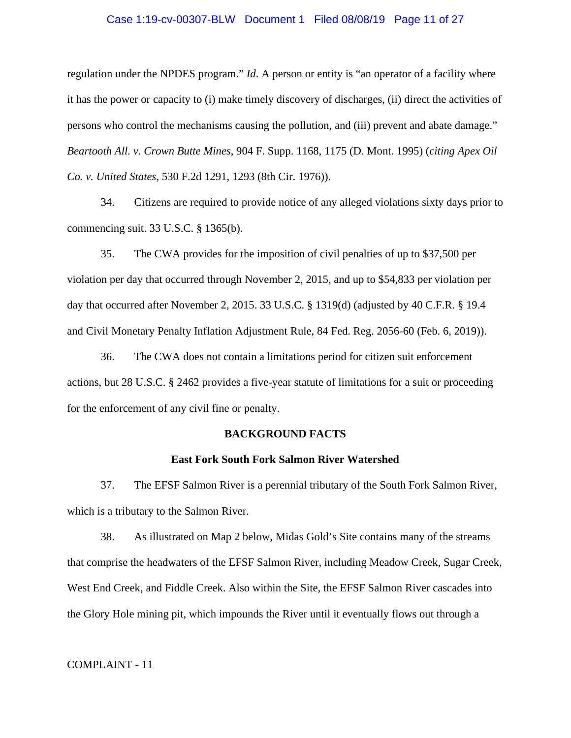# Case 1:19-cv-00307-BLW Document 1 Filed 08/08/19 Page 11 of 27

regulation under the NPDES program." *Id*. A person or entity is "an operator of a facility where it has the power or capacity to (i) make timely discovery of discharges, (ii) direct the activities of persons who control the mechanisms causing the pollution, and (iii) prevent and abate damage." *Beartooth All. v. Crown Butte Mines*, 904 F. Supp. 1168, 1175 (D. Mont. 1995) (*citing Apex Oil Co. v. United States*, 530 F.2d 1291, 1293 (8th Cir. 1976)).

34. Citizens are required to provide notice of any alleged violations sixty days prior to commencing suit. 33 U.S.C. § 1365(b).

35. The CWA provides for the imposition of civil penalties of up to \$37,500 per violation per day that occurred through November 2, 2015, and up to \$54,833 per violation per day that occurred after November 2, 2015. 33 U.S.C. § 1319(d) (adjusted by 40 C.F.R. § 19.4 and Civil Monetary Penalty Inflation Adjustment Rule, 84 Fed. Reg. 2056-60 (Feb. 6, 2019)).

36. The CWA does not contain a limitations period for citizen suit enforcement actions, but 28 U.S.C. § 2462 provides a five-year statute of limitations for a suit or proceeding for the enforcement of any civil fine or penalty.

### **BACKGROUND FACTS**

# **East Fork South Fork Salmon River Watershed**

37. The EFSF Salmon River is a perennial tributary of the South Fork Salmon River, which is a tributary to the Salmon River.

38. As illustrated on Map 2 below, Midas Gold's Site contains many of the streams that comprise the headwaters of the EFSF Salmon River, including Meadow Creek, Sugar Creek, West End Creek, and Fiddle Creek. Also within the Site, the EFSF Salmon River cascades into the Glory Hole mining pit, which impounds the River until it eventually flows out through a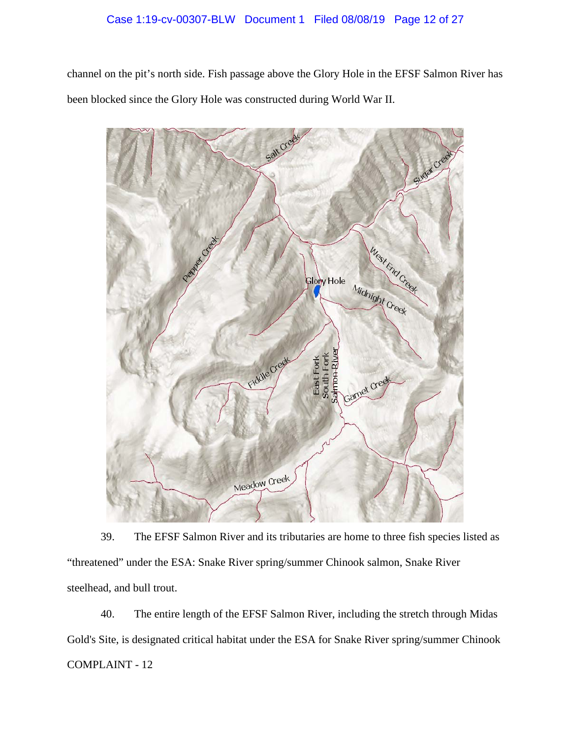# Case 1:19-cv-00307-BLW Document 1 Filed 08/08/19 Page 12 of 27

channel on the pit's north side. Fish passage above the Glory Hole in the EFSF Salmon River has been blocked since the Glory Hole was constructed during World War II.



39. The EFSF Salmon River and its tributaries are home to three fish species listed as "threatened" under the ESA: Snake River spring/summer Chinook salmon, Snake River steelhead, and bull trout.

COMPLAINT - 12 40. The entire length of the EFSF Salmon River, including the stretch through Midas Gold's Site, is designated critical habitat under the ESA for Snake River spring/summer Chinook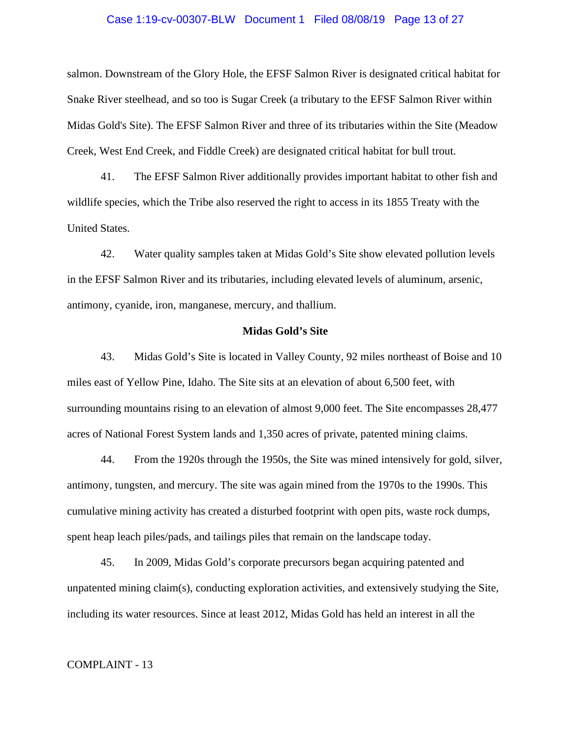# Case 1:19-cv-00307-BLW Document 1 Filed 08/08/19 Page 13 of 27

salmon. Downstream of the Glory Hole, the EFSF Salmon River is designated critical habitat for Snake River steelhead, and so too is Sugar Creek (a tributary to the EFSF Salmon River within Midas Gold's Site). The EFSF Salmon River and three of its tributaries within the Site (Meadow Creek, West End Creek, and Fiddle Creek) are designated critical habitat for bull trout.

41. The EFSF Salmon River additionally provides important habitat to other fish and wildlife species, which the Tribe also reserved the right to access in its 1855 Treaty with the United States.

42. Water quality samples taken at Midas Gold's Site show elevated pollution levels in the EFSF Salmon River and its tributaries, including elevated levels of aluminum, arsenic, antimony, cyanide, iron, manganese, mercury, and thallium.

# **Midas Gold's Site**

43. Midas Gold's Site is located in Valley County, 92 miles northeast of Boise and 10 miles east of Yellow Pine, Idaho. The Site sits at an elevation of about 6,500 feet, with surrounding mountains rising to an elevation of almost 9,000 feet. The Site encompasses 28,477 acres of National Forest System lands and 1,350 acres of private, patented mining claims.

44. From the 1920s through the 1950s, the Site was mined intensively for gold, silver, antimony, tungsten, and mercury. The site was again mined from the 1970s to the 1990s. This cumulative mining activity has created a disturbed footprint with open pits, waste rock dumps, spent heap leach piles/pads, and tailings piles that remain on the landscape today.

45. In 2009, Midas Gold's corporate precursors began acquiring patented and unpatented mining claim(s), conducting exploration activities, and extensively studying the Site, including its water resources. Since at least 2012, Midas Gold has held an interest in all the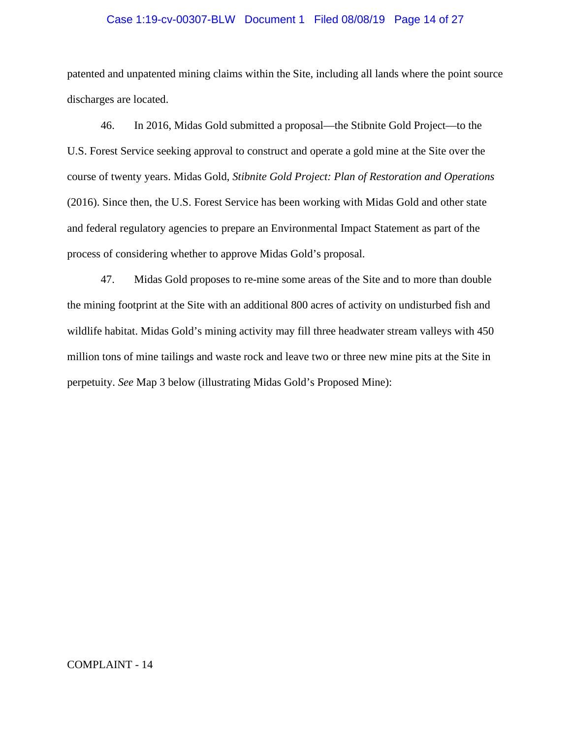# Case 1:19-cv-00307-BLW Document 1 Filed 08/08/19 Page 14 of 27

patented and unpatented mining claims within the Site, including all lands where the point source discharges are located.

46. In 2016, Midas Gold submitted a proposal—the Stibnite Gold Project—to the U.S. Forest Service seeking approval to construct and operate a gold mine at the Site over the course of twenty years. Midas Gold, *Stibnite Gold Project: Plan of Restoration and Operations* (2016). Since then, the U.S. Forest Service has been working with Midas Gold and other state and federal regulatory agencies to prepare an Environmental Impact Statement as part of the process of considering whether to approve Midas Gold's proposal.

47. Midas Gold proposes to re-mine some areas of the Site and to more than double the mining footprint at the Site with an additional 800 acres of activity on undisturbed fish and wildlife habitat. Midas Gold's mining activity may fill three headwater stream valleys with 450 million tons of mine tailings and waste rock and leave two or three new mine pits at the Site in perpetuity. *See* Map 3 below (illustrating Midas Gold's Proposed Mine):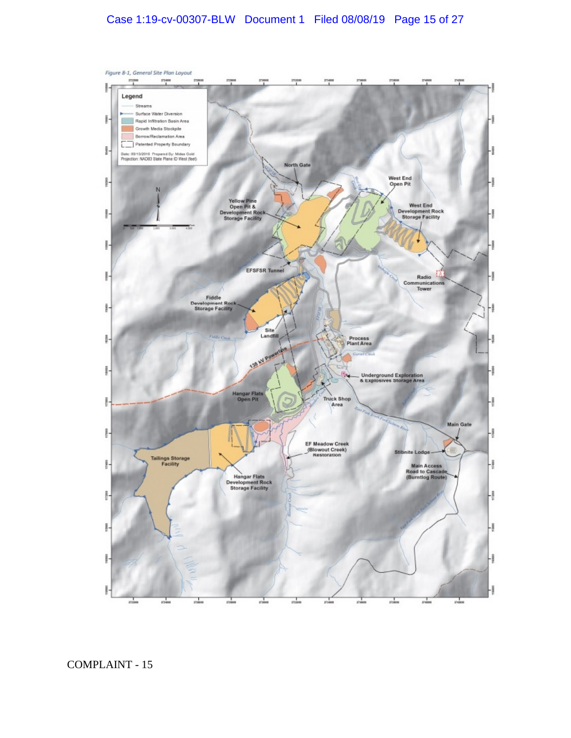# Case 1:19-cv-00307-BLW Document 1 Filed 08/08/19 Page 15 of 27

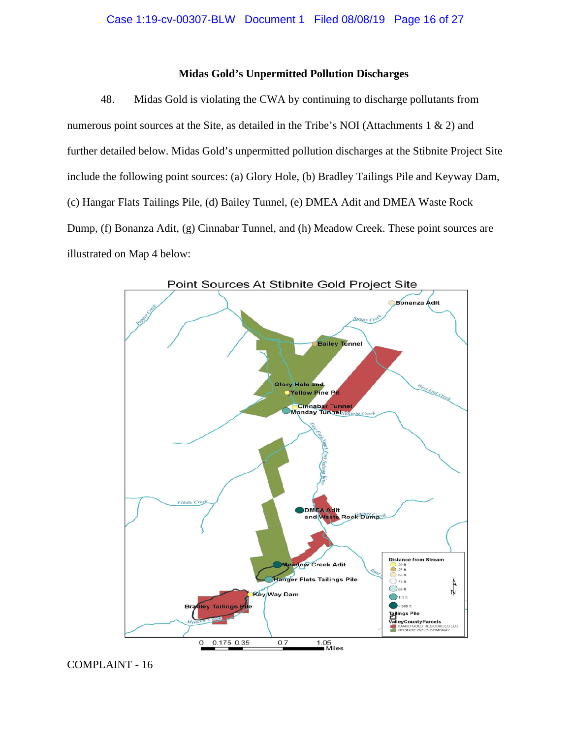# **Midas Gold's Unpermitted Pollution Discharges**

48. Midas Gold is violating the CWA by continuing to discharge pollutants from numerous point sources at the Site, as detailed in the Tribe's NOI (Attachments  $1 \& 2$ ) and further detailed below. Midas Gold's unpermitted pollution discharges at the Stibnite Project Site include the following point sources: (a) Glory Hole, (b) Bradley Tailings Pile and Keyway Dam, (c) Hangar Flats Tailings Pile, (d) Bailey Tunnel, (e) DMEA Adit and DMEA Waste Rock Dump, (f) Bonanza Adit, (g) Cinnabar Tunnel, and (h) Meadow Creek. These point sources are illustrated on Map 4 below:

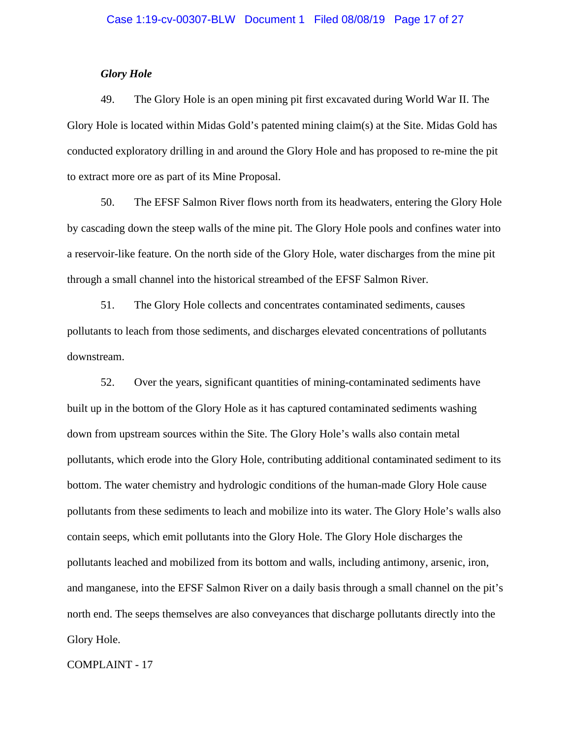# *Glory Hole*

49. The Glory Hole is an open mining pit first excavated during World War II. The Glory Hole is located within Midas Gold's patented mining claim(s) at the Site. Midas Gold has conducted exploratory drilling in and around the Glory Hole and has proposed to re-mine the pit to extract more ore as part of its Mine Proposal.

50. The EFSF Salmon River flows north from its headwaters, entering the Glory Hole by cascading down the steep walls of the mine pit. The Glory Hole pools and confines water into a reservoir-like feature. On the north side of the Glory Hole, water discharges from the mine pit through a small channel into the historical streambed of the EFSF Salmon River.

51. The Glory Hole collects and concentrates contaminated sediments, causes pollutants to leach from those sediments, and discharges elevated concentrations of pollutants downstream.

52. Over the years, significant quantities of mining-contaminated sediments have built up in the bottom of the Glory Hole as it has captured contaminated sediments washing down from upstream sources within the Site. The Glory Hole's walls also contain metal pollutants, which erode into the Glory Hole, contributing additional contaminated sediment to its bottom. The water chemistry and hydrologic conditions of the human-made Glory Hole cause pollutants from these sediments to leach and mobilize into its water. The Glory Hole's walls also contain seeps, which emit pollutants into the Glory Hole. The Glory Hole discharges the pollutants leached and mobilized from its bottom and walls, including antimony, arsenic, iron, and manganese, into the EFSF Salmon River on a daily basis through a small channel on the pit's north end. The seeps themselves are also conveyances that discharge pollutants directly into the Glory Hole.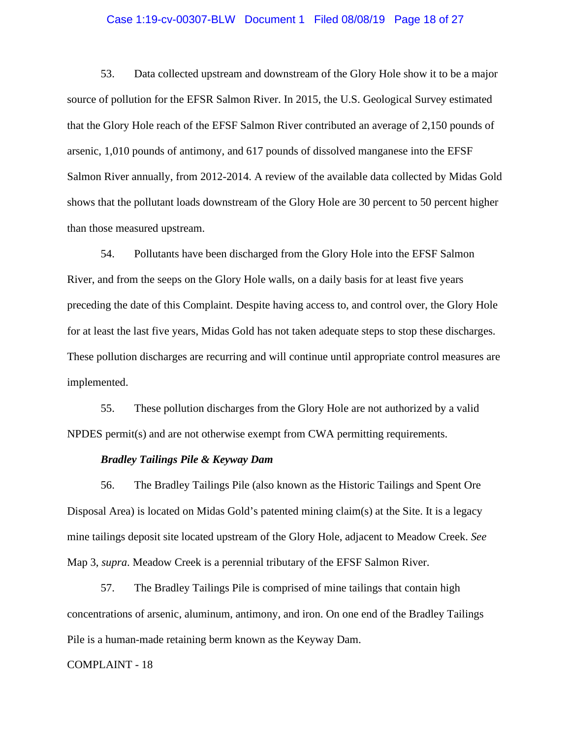# Case 1:19-cv-00307-BLW Document 1 Filed 08/08/19 Page 18 of 27

53. Data collected upstream and downstream of the Glory Hole show it to be a major source of pollution for the EFSR Salmon River. In 2015, the U.S. Geological Survey estimated that the Glory Hole reach of the EFSF Salmon River contributed an average of 2,150 pounds of arsenic, 1,010 pounds of antimony, and 617 pounds of dissolved manganese into the EFSF Salmon River annually, from 2012-2014. A review of the available data collected by Midas Gold shows that the pollutant loads downstream of the Glory Hole are 30 percent to 50 percent higher than those measured upstream.

54. Pollutants have been discharged from the Glory Hole into the EFSF Salmon River, and from the seeps on the Glory Hole walls, on a daily basis for at least five years preceding the date of this Complaint. Despite having access to, and control over, the Glory Hole for at least the last five years, Midas Gold has not taken adequate steps to stop these discharges. These pollution discharges are recurring and will continue until appropriate control measures are implemented.

55. These pollution discharges from the Glory Hole are not authorized by a valid NPDES permit(s) and are not otherwise exempt from CWA permitting requirements.

# *Bradley Tailings Pile & Keyway Dam*

56. The Bradley Tailings Pile (also known as the Historic Tailings and Spent Ore Disposal Area) is located on Midas Gold's patented mining claim(s) at the Site. It is a legacy mine tailings deposit site located upstream of the Glory Hole, adjacent to Meadow Creek. *See*  Map 3, *supra*. Meadow Creek is a perennial tributary of the EFSF Salmon River.

57. The Bradley Tailings Pile is comprised of mine tailings that contain high concentrations of arsenic, aluminum, antimony, and iron. On one end of the Bradley Tailings Pile is a human-made retaining berm known as the Keyway Dam.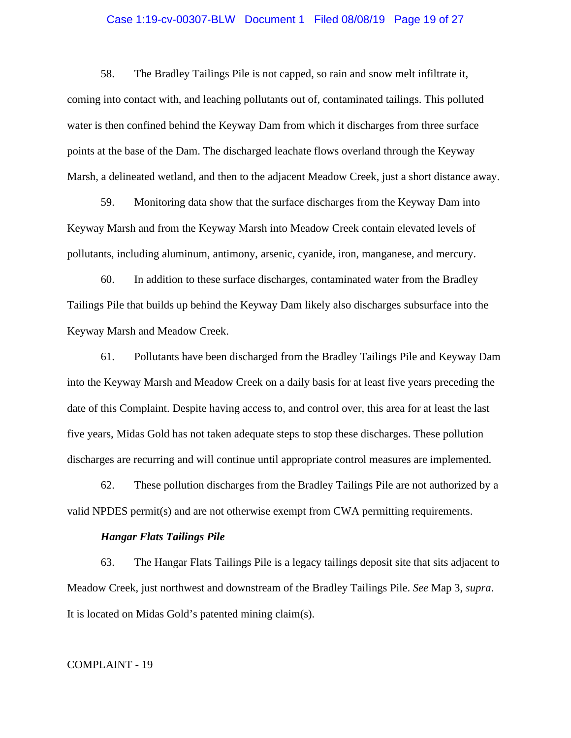# Case 1:19-cv-00307-BLW Document 1 Filed 08/08/19 Page 19 of 27

58. The Bradley Tailings Pile is not capped, so rain and snow melt infiltrate it, coming into contact with, and leaching pollutants out of, contaminated tailings. This polluted water is then confined behind the Keyway Dam from which it discharges from three surface points at the base of the Dam. The discharged leachate flows overland through the Keyway Marsh, a delineated wetland, and then to the adjacent Meadow Creek, just a short distance away.

59. Monitoring data show that the surface discharges from the Keyway Dam into Keyway Marsh and from the Keyway Marsh into Meadow Creek contain elevated levels of pollutants, including aluminum, antimony, arsenic, cyanide, iron, manganese, and mercury.

60. In addition to these surface discharges, contaminated water from the Bradley Tailings Pile that builds up behind the Keyway Dam likely also discharges subsurface into the Keyway Marsh and Meadow Creek.

61. Pollutants have been discharged from the Bradley Tailings Pile and Keyway Dam into the Keyway Marsh and Meadow Creek on a daily basis for at least five years preceding the date of this Complaint. Despite having access to, and control over, this area for at least the last five years, Midas Gold has not taken adequate steps to stop these discharges. These pollution discharges are recurring and will continue until appropriate control measures are implemented.

62. These pollution discharges from the Bradley Tailings Pile are not authorized by a valid NPDES permit(s) and are not otherwise exempt from CWA permitting requirements.

### *Hangar Flats Tailings Pile*

63. The Hangar Flats Tailings Pile is a legacy tailings deposit site that sits adjacent to Meadow Creek, just northwest and downstream of the Bradley Tailings Pile. *See* Map 3, *supra*. It is located on Midas Gold's patented mining claim(s).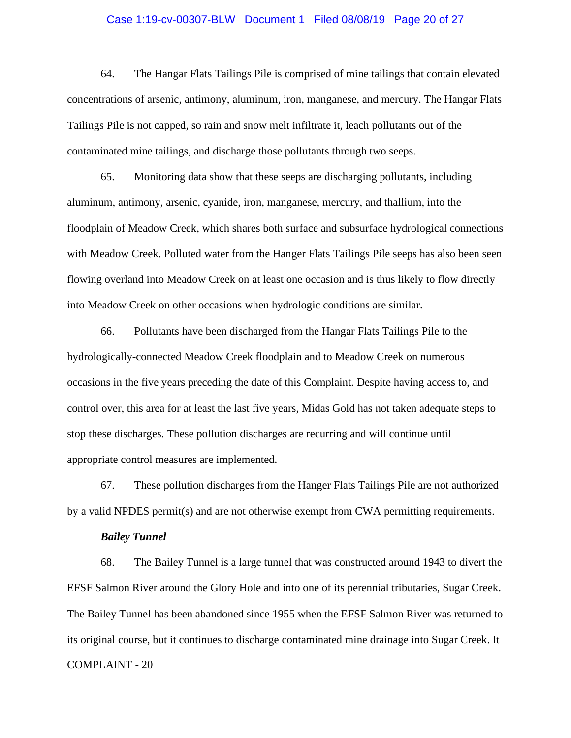# Case 1:19-cv-00307-BLW Document 1 Filed 08/08/19 Page 20 of 27

64. The Hangar Flats Tailings Pile is comprised of mine tailings that contain elevated concentrations of arsenic, antimony, aluminum, iron, manganese, and mercury. The Hangar Flats Tailings Pile is not capped, so rain and snow melt infiltrate it, leach pollutants out of the contaminated mine tailings, and discharge those pollutants through two seeps.

65. Monitoring data show that these seeps are discharging pollutants, including aluminum, antimony, arsenic, cyanide, iron, manganese, mercury, and thallium, into the floodplain of Meadow Creek, which shares both surface and subsurface hydrological connections with Meadow Creek. Polluted water from the Hanger Flats Tailings Pile seeps has also been seen flowing overland into Meadow Creek on at least one occasion and is thus likely to flow directly into Meadow Creek on other occasions when hydrologic conditions are similar.

66. Pollutants have been discharged from the Hangar Flats Tailings Pile to the hydrologically-connected Meadow Creek floodplain and to Meadow Creek on numerous occasions in the five years preceding the date of this Complaint. Despite having access to, and control over, this area for at least the last five years, Midas Gold has not taken adequate steps to stop these discharges. These pollution discharges are recurring and will continue until appropriate control measures are implemented.

67. These pollution discharges from the Hanger Flats Tailings Pile are not authorized by a valid NPDES permit(s) and are not otherwise exempt from CWA permitting requirements.

### *Bailey Tunnel*

COMPLAINT - 20 68. The Bailey Tunnel is a large tunnel that was constructed around 1943 to divert the EFSF Salmon River around the Glory Hole and into one of its perennial tributaries, Sugar Creek. The Bailey Tunnel has been abandoned since 1955 when the EFSF Salmon River was returned to its original course, but it continues to discharge contaminated mine drainage into Sugar Creek. It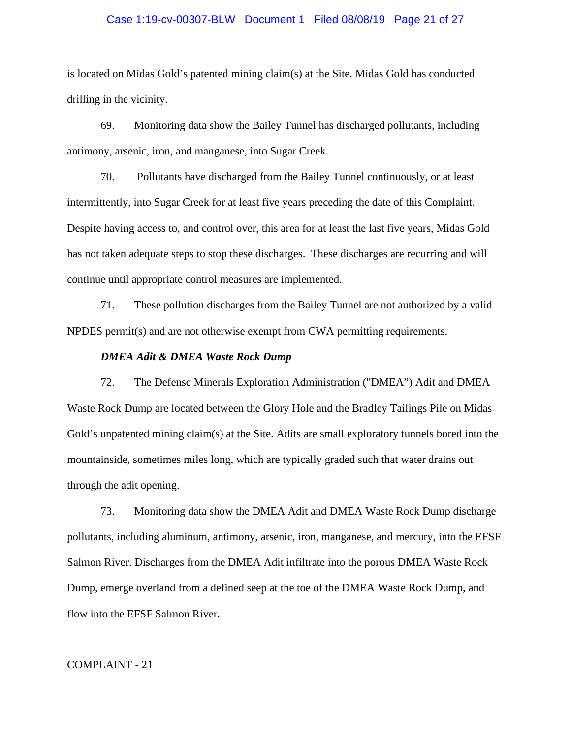# Case 1:19-cv-00307-BLW Document 1 Filed 08/08/19 Page 21 of 27

is located on Midas Gold's patented mining claim(s) at the Site. Midas Gold has conducted drilling in the vicinity.

69. Monitoring data show the Bailey Tunnel has discharged pollutants, including antimony, arsenic, iron, and manganese, into Sugar Creek.

70. Pollutants have discharged from the Bailey Tunnel continuously, or at least intermittently, into Sugar Creek for at least five years preceding the date of this Complaint. Despite having access to, and control over, this area for at least the last five years, Midas Gold has not taken adequate steps to stop these discharges. These discharges are recurring and will continue until appropriate control measures are implemented.

71. These pollution discharges from the Bailey Tunnel are not authorized by a valid NPDES permit(s) and are not otherwise exempt from CWA permitting requirements.

# *DMEA Adit & DMEA Waste Rock Dump*

72. The Defense Minerals Exploration Administration ("DMEA") Adit and DMEA Waste Rock Dump are located between the Glory Hole and the Bradley Tailings Pile on Midas Gold's unpatented mining claim(s) at the Site. Adits are small exploratory tunnels bored into the mountainside, sometimes miles long, which are typically graded such that water drains out through the adit opening.

73. Monitoring data show the DMEA Adit and DMEA Waste Rock Dump discharge pollutants, including aluminum, antimony, arsenic, iron, manganese, and mercury, into the EFSF Salmon River. Discharges from the DMEA Adit infiltrate into the porous DMEA Waste Rock Dump, emerge overland from a defined seep at the toe of the DMEA Waste Rock Dump, and flow into the EFSF Salmon River.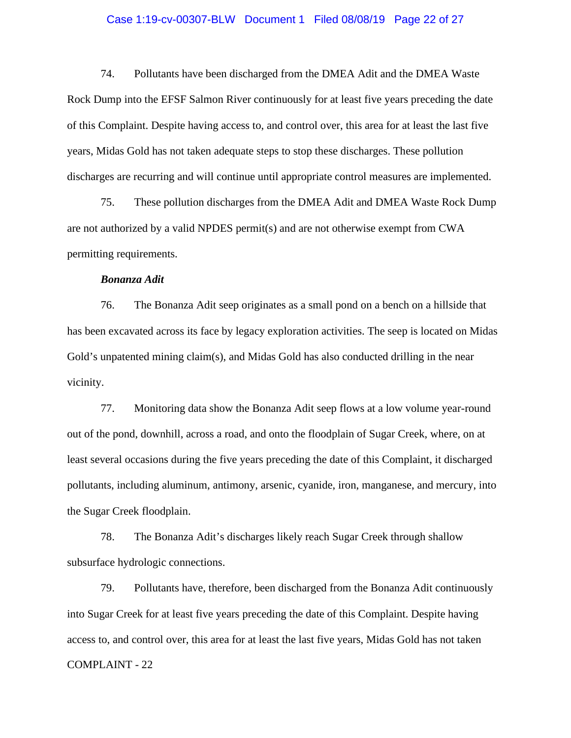# Case 1:19-cv-00307-BLW Document 1 Filed 08/08/19 Page 22 of 27

74. Pollutants have been discharged from the DMEA Adit and the DMEA Waste Rock Dump into the EFSF Salmon River continuously for at least five years preceding the date of this Complaint. Despite having access to, and control over, this area for at least the last five years, Midas Gold has not taken adequate steps to stop these discharges. These pollution discharges are recurring and will continue until appropriate control measures are implemented.

75. These pollution discharges from the DMEA Adit and DMEA Waste Rock Dump are not authorized by a valid NPDES permit(s) and are not otherwise exempt from CWA permitting requirements.

# *Bonanza Adit*

76. The Bonanza Adit seep originates as a small pond on a bench on a hillside that has been excavated across its face by legacy exploration activities. The seep is located on Midas Gold's unpatented mining claim(s), and Midas Gold has also conducted drilling in the near vicinity.

77. Monitoring data show the Bonanza Adit seep flows at a low volume year-round out of the pond, downhill, across a road, and onto the floodplain of Sugar Creek, where, on at least several occasions during the five years preceding the date of this Complaint, it discharged pollutants, including aluminum, antimony, arsenic, cyanide, iron, manganese, and mercury, into the Sugar Creek floodplain.

78. The Bonanza Adit's discharges likely reach Sugar Creek through shallow subsurface hydrologic connections.

COMPLAINT - 22 79. Pollutants have, therefore, been discharged from the Bonanza Adit continuously into Sugar Creek for at least five years preceding the date of this Complaint. Despite having access to, and control over, this area for at least the last five years, Midas Gold has not taken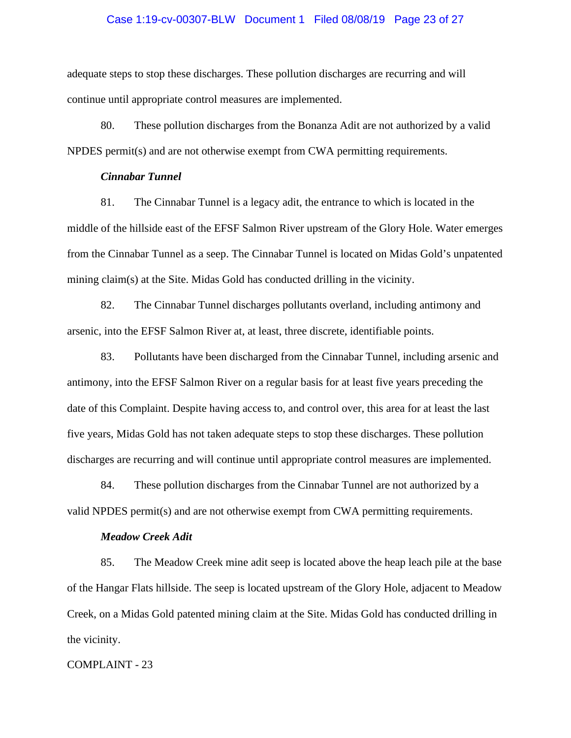# Case 1:19-cv-00307-BLW Document 1 Filed 08/08/19 Page 23 of 27

adequate steps to stop these discharges. These pollution discharges are recurring and will continue until appropriate control measures are implemented.

80. These pollution discharges from the Bonanza Adit are not authorized by a valid NPDES permit(s) and are not otherwise exempt from CWA permitting requirements.

# *Cinnabar Tunnel*

81. The Cinnabar Tunnel is a legacy adit, the entrance to which is located in the middle of the hillside east of the EFSF Salmon River upstream of the Glory Hole. Water emerges from the Cinnabar Tunnel as a seep. The Cinnabar Tunnel is located on Midas Gold's unpatented mining claim(s) at the Site. Midas Gold has conducted drilling in the vicinity.

82. The Cinnabar Tunnel discharges pollutants overland, including antimony and arsenic, into the EFSF Salmon River at, at least, three discrete, identifiable points.

83. Pollutants have been discharged from the Cinnabar Tunnel, including arsenic and antimony, into the EFSF Salmon River on a regular basis for at least five years preceding the date of this Complaint. Despite having access to, and control over, this area for at least the last five years, Midas Gold has not taken adequate steps to stop these discharges. These pollution discharges are recurring and will continue until appropriate control measures are implemented.

84. These pollution discharges from the Cinnabar Tunnel are not authorized by a valid NPDES permit(s) and are not otherwise exempt from CWA permitting requirements.

### *Meadow Creek Adit*

85. The Meadow Creek mine adit seep is located above the heap leach pile at the base of the Hangar Flats hillside. The seep is located upstream of the Glory Hole, adjacent to Meadow Creek, on a Midas Gold patented mining claim at the Site. Midas Gold has conducted drilling in the vicinity.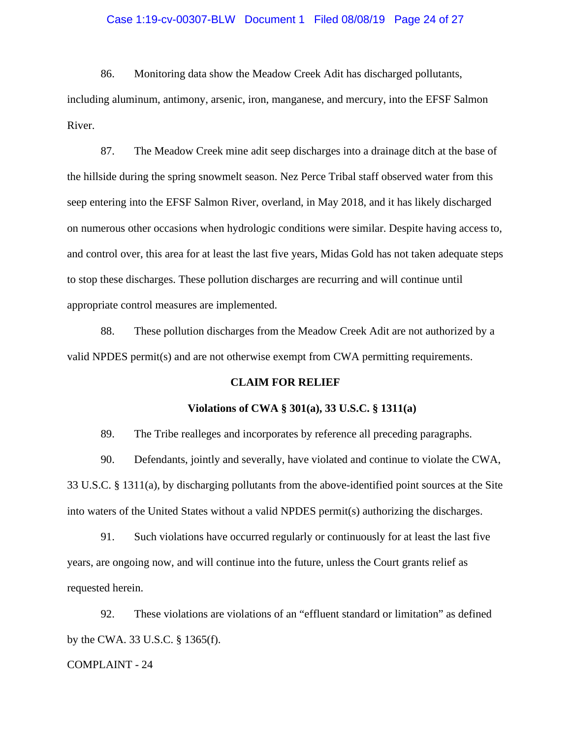# Case 1:19-cv-00307-BLW Document 1 Filed 08/08/19 Page 24 of 27

86. Monitoring data show the Meadow Creek Adit has discharged pollutants, including aluminum, antimony, arsenic, iron, manganese, and mercury, into the EFSF Salmon River.

87. The Meadow Creek mine adit seep discharges into a drainage ditch at the base of the hillside during the spring snowmelt season. Nez Perce Tribal staff observed water from this seep entering into the EFSF Salmon River, overland, in May 2018, and it has likely discharged on numerous other occasions when hydrologic conditions were similar. Despite having access to, and control over, this area for at least the last five years, Midas Gold has not taken adequate steps to stop these discharges. These pollution discharges are recurring and will continue until appropriate control measures are implemented.

88. These pollution discharges from the Meadow Creek Adit are not authorized by a valid NPDES permit(s) and are not otherwise exempt from CWA permitting requirements.

### **CLAIM FOR RELIEF**

### **Violations of CWA § 301(a), 33 U.S.C. § 1311(a)**

89. The Tribe realleges and incorporates by reference all preceding paragraphs.

90. Defendants, jointly and severally, have violated and continue to violate the CWA, 33 U.S.C. § 1311(a), by discharging pollutants from the above-identified point sources at the Site into waters of the United States without a valid NPDES permit(s) authorizing the discharges.

91. Such violations have occurred regularly or continuously for at least the last five years, are ongoing now, and will continue into the future, unless the Court grants relief as requested herein.

92. These violations are violations of an "effluent standard or limitation" as defined by the CWA. 33 U.S.C. § 1365(f).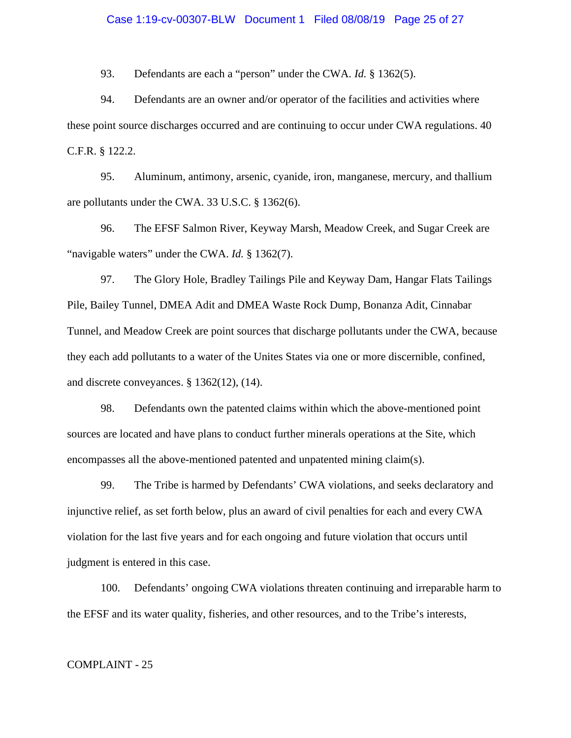# Case 1:19-cv-00307-BLW Document 1 Filed 08/08/19 Page 25 of 27

93. Defendants are each a "person" under the CWA. *Id.* § 1362(5).

94. Defendants are an owner and/or operator of the facilities and activities where these point source discharges occurred and are continuing to occur under CWA regulations. 40 C.F.R. § 122.2.

95. Aluminum, antimony, arsenic, cyanide, iron, manganese, mercury, and thallium are pollutants under the CWA. 33 U.S.C. § 1362(6).

96. The EFSF Salmon River, Keyway Marsh, Meadow Creek, and Sugar Creek are "navigable waters" under the CWA. *Id.* § 1362(7).

97. The Glory Hole, Bradley Tailings Pile and Keyway Dam, Hangar Flats Tailings Pile, Bailey Tunnel, DMEA Adit and DMEA Waste Rock Dump, Bonanza Adit, Cinnabar Tunnel, and Meadow Creek are point sources that discharge pollutants under the CWA, because they each add pollutants to a water of the Unites States via one or more discernible, confined, and discrete conveyances. § 1362(12), (14).

98. Defendants own the patented claims within which the above-mentioned point sources are located and have plans to conduct further minerals operations at the Site, which encompasses all the above-mentioned patented and unpatented mining claim(s).

99. The Tribe is harmed by Defendants' CWA violations, and seeks declaratory and injunctive relief, as set forth below, plus an award of civil penalties for each and every CWA violation for the last five years and for each ongoing and future violation that occurs until judgment is entered in this case.

100. Defendants' ongoing CWA violations threaten continuing and irreparable harm to the EFSF and its water quality, fisheries, and other resources, and to the Tribe's interests,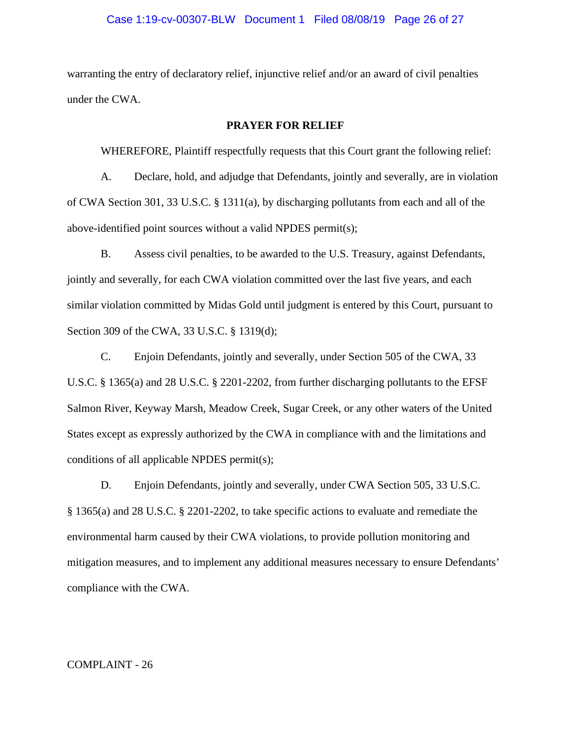# Case 1:19-cv-00307-BLW Document 1 Filed 08/08/19 Page 26 of 27

warranting the entry of declaratory relief, injunctive relief and/or an award of civil penalties under the CWA.

# **PRAYER FOR RELIEF**

WHEREFORE, Plaintiff respectfully requests that this Court grant the following relief:

A. Declare, hold, and adjudge that Defendants, jointly and severally, are in violation of CWA Section 301, 33 U.S.C. § 1311(a), by discharging pollutants from each and all of the above-identified point sources without a valid NPDES permit(s);

B. Assess civil penalties, to be awarded to the U.S. Treasury, against Defendants, jointly and severally, for each CWA violation committed over the last five years, and each similar violation committed by Midas Gold until judgment is entered by this Court, pursuant to Section 309 of the CWA, 33 U.S.C. § 1319(d);

C. Enjoin Defendants, jointly and severally, under Section 505 of the CWA, 33 U.S.C. § 1365(a) and 28 U.S.C. § 2201-2202, from further discharging pollutants to the EFSF Salmon River, Keyway Marsh, Meadow Creek, Sugar Creek, or any other waters of the United States except as expressly authorized by the CWA in compliance with and the limitations and conditions of all applicable NPDES permit(s);

D. Enjoin Defendants, jointly and severally, under CWA Section 505, 33 U.S.C. § 1365(a) and 28 U.S.C. § 2201-2202, to take specific actions to evaluate and remediate the environmental harm caused by their CWA violations, to provide pollution monitoring and mitigation measures, and to implement any additional measures necessary to ensure Defendants' compliance with the CWA.